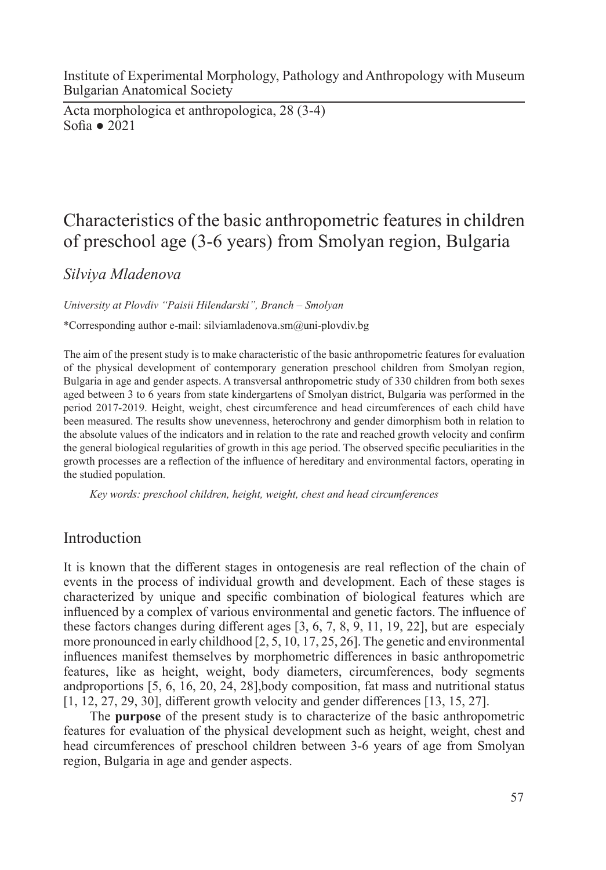Institute of Experimental Morphology, Pathology and Anthropology with Museum Bulgarian Anatomical Society

Acta morphologica et anthropologica, 28 (3-4) Sofia ● 2021

# Characteristics of the basic anthropometric features in children of preschool age (3-6 years) from Smolyan region, Bulgaria

*Silviya Mladenova* 

*University at Plovdiv "Paisii Hilendarski", Branch – Smolyan*

\*Corresponding author e-mail: silviamladenova.sm@uni-plovdiv.bg

The aim of the present study is to make characteristic of the basic anthropometric features for evaluation of the physical development of contemporary generation preschool children from Smolyan region, Bulgaria in age and gender aspects. A transversal anthropometric study of 330 children from both sexes aged between 3 to 6 years from state kindergartens of Smolyan district, Bulgaria was performed in the period 2017-2019. Height, weight, chest circumference and head circumferences of each child have been measured. The results show unevenness, heterochrony and gender dimorphism both in relation to the absolute values of the indicators and in relation to the rate and reached growth velocity and confirm the general biological regularities of growth in this age period. The observed specific peculiarities in the growth processes are a reflection of the influence of hereditary and environmental factors, operating in the studied population.

*Key words: preschool children, height, weight, chest and head circumferences*

## Introduction

It is known that the different stages in ontogenesis are real reflection of the chain of events in the process of individual growth and development. Each of these stages is characterized by unique and specific combination of biological features which are influenced by a complex of various environmental and genetic factors. The influence of these factors changes during different ages [3, 6, 7, 8, 9, 11, 19, 22], but are especialy more pronounced in early childhood [2, 5, 10, 17, 25, 26]. The genetic and environmental influences manifest themselves by morphometric differences in basic anthropometric features, like as height, weight, body diameters, circumferences, body segments andproportions [5, 6, 16, 20, 24, 28],body composition, fat mass and nutritional status [1, 12, 27, 29, 30], different growth velocity and gender differences [13, 15, 27].

The **purpose** of the present study is to characterize of the basic anthropometric features for evaluation of the physical development such as height, weight, chest and head circumferences of preschool children between 3-6 years of age from Smolyan region, Bulgaria in age and gender aspects.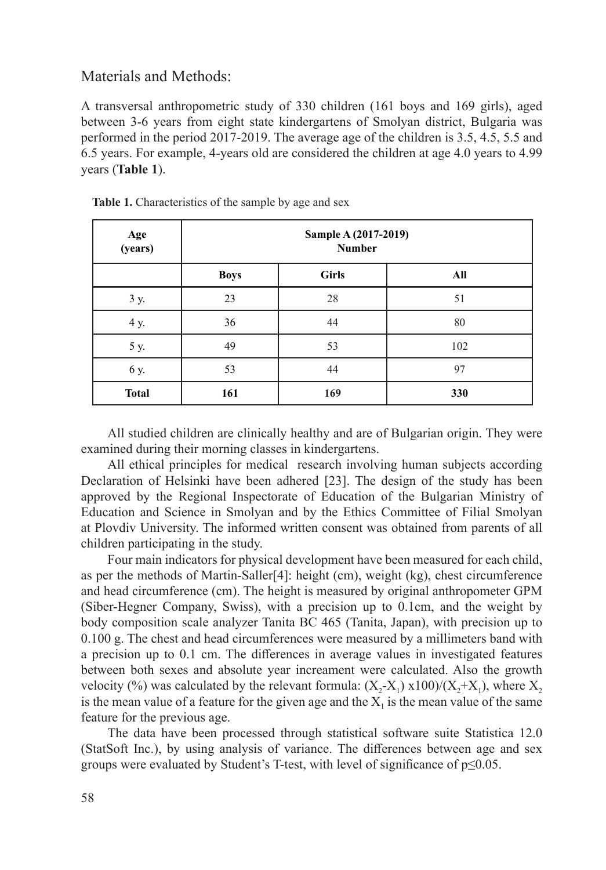### Materials and Methods:

A transversal anthropometric study of 330 children (161 boys and 169 girls), aged between 3-6 years from eight state kindergartens of Smolyan district, Bulgaria was performed in the period 2017-2019. The average age of the children is 3.5, 4.5, 5.5 and 6.5 years. For example, 4-years old are considered the children at age 4.0 years to 4.99 years (**Table 1**).

| Age<br>(years) | Sample A (2017-2019)<br><b>Number</b> |              |     |  |  |  |  |  |
|----------------|---------------------------------------|--------------|-----|--|--|--|--|--|
|                | <b>Boys</b>                           | <b>Girls</b> | All |  |  |  |  |  |
| 3 y.           | 23                                    | 28           | 51  |  |  |  |  |  |
| 4 y.           | 36                                    | 44           | 80  |  |  |  |  |  |
| 5 y.           | 49                                    | 53           | 102 |  |  |  |  |  |
| 6 y.           | 53                                    | 44           | 97  |  |  |  |  |  |
| <b>Total</b>   | 161                                   | 169          | 330 |  |  |  |  |  |

**Table 1.** Characteristics of the sample by age and sex

All studied children are clinically healthy and are of Bulgarian origin. They were examined during their morning classes in kindergartens.

All ethical principles for medical research involving human subjects according Declaration of Helsinki have been adhered [23]. The design of the study has been approved by the Regional Inspectorate of Education of the Bulgarian Ministry of Education and Science in Smolyan and by the Ethics Committee of Filial Smolyan at Plovdiv University. The informed written consent was obtained from parents of all children participating in the study.

Four main indicators for physical development have been measured for each child, as per the methods of Martin-Saller[4]: height (cm), weight (kg), chest circumference and head circumference (cm). The height is measured by original anthropometer GPM (Siber-Hegner Company, Swiss), with a precision up to 0.1cm, and the weight by body composition scale analyzer Tanita BC 465 (Tanita, Japan), with precision up to 0.100 g. The chest and head circumferences were measured by a millimeters band with a precision up to 0.1 cm. The differences in average values in investigated features between both sexes and absolute year increament were calculated. Also the growth velocity (%) was calculated by the relevant formula:  $(X_2-X_1)$  x100)/ $(X_2+X_1)$ , where  $X_2$ is the mean value of a feature for the given age and the  $X<sub>1</sub>$  is the mean value of the same feature for the previous age.

The data have been processed through statistical software suite Statistica 12.0 (StatSoft Inc.), by using analysis of variance. The differences between age and sex groups were evaluated by Student's T-test, with level of significance of p≤0.05.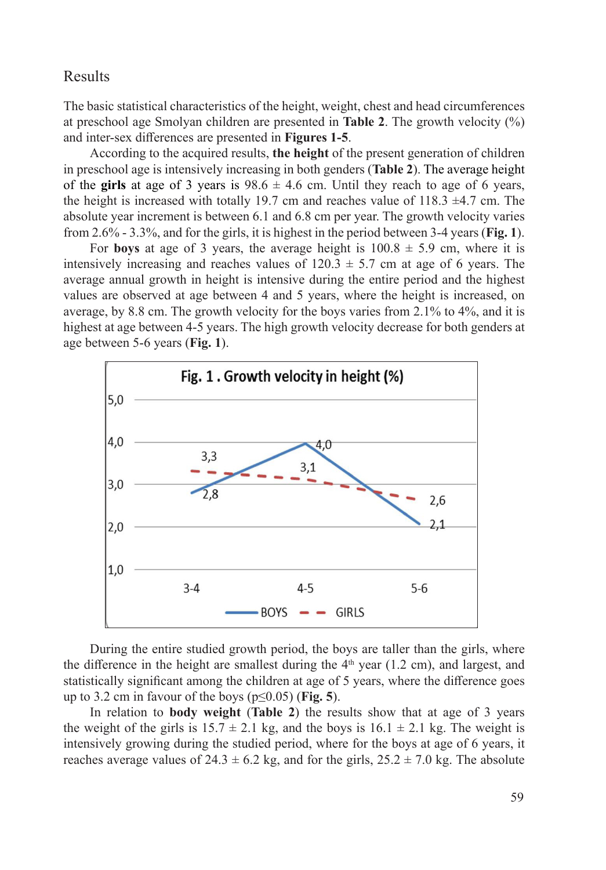## Results

The basic statistical characteristics of the height, weight, chest and head circumferences at preschool age Smolyan children are presented in **Table 2**. The growth velocity (%) and inter-sex differences are presented in **Figures 1-5**.

According to the acquired results, **the height** of the present generation of children in preschool age is intensively increasing in both genders (**Table 2**). The average height of the **girls** at age of 3 years is  $98.6 \pm 4.6$  cm. Until they reach to age of 6 years, the height is increased with totally 19.7 cm and reaches value of 118.3  $\pm$ 4.7 cm. The absolute year increment is between 6.1 and 6.8 cm per year. The growth velocity varies from 2.6% - 3.3%, and for the girls, it is highest in the period between 3-4 years (**Fig. 1**).

For **boys** at age of 3 years, the average height is  $100.8 \pm 5.9$  cm, where it is intensively increasing and reaches values of  $120.3 \pm 5.7$  cm at age of 6 years. The average annual growth in height is intensive during the entire period and the highest values are observed at age between 4 and 5 years, where the height is increased, on average, by 8.8 cm. The growth velocity for the boys varies from 2.1% to 4%, and it is highest at age between 4-5 years. The high growth velocity decrease for both genders at age between 5-6 years (**Fig. 1**).



During the entire studied growth period, the boys are taller than the girls, where the difference in the height are smallest during the  $4<sup>th</sup>$  year (1.2 cm), and largest, and statistically significant among the children at age of 5 years, where the difference goes up to 3.2 cm in favour of the boys ( $p \le 0.05$ ) (**Fig. 5**).

In relation to **body weight** (**Table 2**) the results show that at age of 3 years the weight of the girls is  $15.7 \pm 2.1$  kg, and the boys is  $16.1 \pm 2.1$  kg. The weight is intensively growing during the studied period, where for the boys at age of 6 years, it reaches average values of  $24.3 \pm 6.2$  kg, and for the girls,  $25.2 \pm 7.0$  kg. The absolute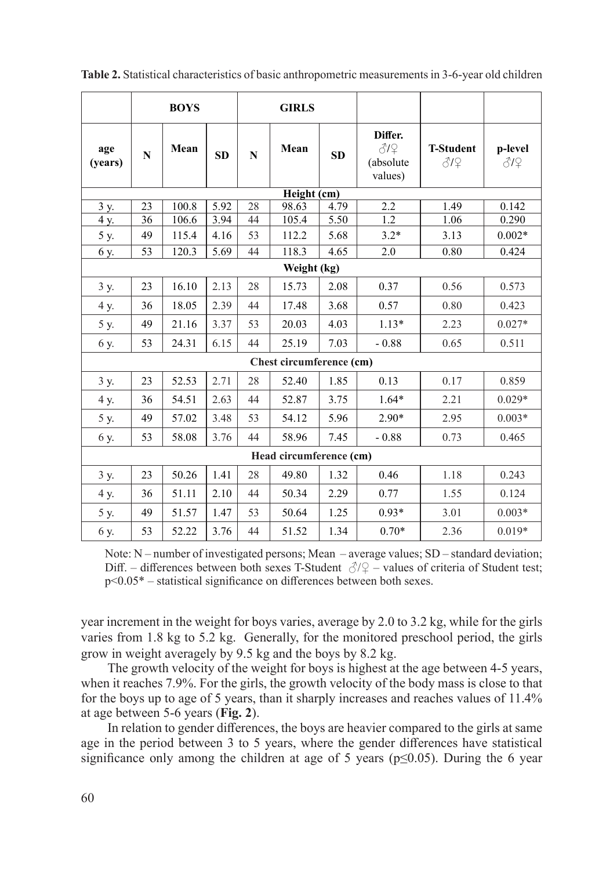|                          | <b>BOYS</b> |       | <b>GIRLS</b> |    |       |           |                                        |                         |                |  |  |  |
|--------------------------|-------------|-------|--------------|----|-------|-----------|----------------------------------------|-------------------------|----------------|--|--|--|
| age<br>(years)           | N           | Mean  | <b>SD</b>    | N  | Mean  | <b>SD</b> | Differ.<br>312<br>(absolute<br>values) | <b>T-Student</b><br>819 | p-level<br>817 |  |  |  |
| Height (cm)              |             |       |              |    |       |           |                                        |                         |                |  |  |  |
| 3 y.                     | 23          | 100.8 | 5.92         | 28 | 98.63 | 4.79      | 2.2                                    | 1.49                    | 0.142          |  |  |  |
| $4y$ .                   | 36          | 106.6 | 3.94         | 44 | 105.4 | 5.50      | 1.2                                    | 1.06                    | 0.290          |  |  |  |
| 5 y.                     | 49          | 115.4 | 4.16         | 53 | 112.2 | 5.68      | $3.2*$                                 | 3.13                    | $0.002*$       |  |  |  |
| $6y$ .                   | 53          | 120.3 | 5.69         | 44 | 118.3 | 4.65      | 2.0                                    | 0.80                    | 0.424          |  |  |  |
| Weight (kg)              |             |       |              |    |       |           |                                        |                         |                |  |  |  |
| 3 y.                     | 23          | 16.10 | 2.13         | 28 | 15.73 | 2.08      | 0.37                                   | 0.56                    | 0.573          |  |  |  |
| 4 y.                     | 36          | 18.05 | 2.39         | 44 | 17.48 | 3.68      | 0.57                                   | 0.80                    | 0.423          |  |  |  |
| 5 y.                     | 49          | 21.16 | 3.37         | 53 | 20.03 | 4.03      | $1.13*$                                | 2.23                    | $0.027*$       |  |  |  |
| 6 y.                     | 53          | 24.31 | 6.15         | 44 | 25.19 | 7.03      | $-0.88$                                | 0.65                    | 0.511          |  |  |  |
| Chest circumference (cm) |             |       |              |    |       |           |                                        |                         |                |  |  |  |
| 3 y.                     | 23          | 52.53 | 2.71         | 28 | 52.40 | 1.85      | 0.13                                   | 0.17                    | 0.859          |  |  |  |
| 4 y.                     | 36          | 54.51 | 2.63         | 44 | 52.87 | 3.75      | $1.64*$                                | 2.21                    | $0.029*$       |  |  |  |
| 5 y.                     | 49          | 57.02 | 3.48         | 53 | 54.12 | 5.96      | $2.90*$                                | 2.95                    | $0.003*$       |  |  |  |
| 6 y.                     | 53          | 58.08 | 3.76         | 44 | 58.96 | 7.45      | $-0.88$                                | 0.73                    | 0.465          |  |  |  |
| Head circumference (cm)  |             |       |              |    |       |           |                                        |                         |                |  |  |  |
| 3 y.                     | 23          | 50.26 | 1.41         | 28 | 49.80 | 1.32      | 0.46                                   | 1.18                    | 0.243          |  |  |  |
| 4 y.                     | 36          | 51.11 | 2.10         | 44 | 50.34 | 2.29      | 0.77                                   | 1.55                    | 0.124          |  |  |  |
| 5 y.                     | 49          | 51.57 | 1.47         | 53 | 50.64 | 1.25      | $0.93*$                                | 3.01                    | $0.003*$       |  |  |  |
| 6 y.                     | 53          | 52.22 | 3.76         | 44 | 51.52 | 1.34      | $0.70*$                                | 2.36                    | $0.019*$       |  |  |  |

**Table 2.** Statistical characteristics of basic anthropometric measurements in 3-6-year old children

Note: N – number of investigated persons; Mean – average values; SD – standard deviation; Diff. – differences between both sexes T-Student  $\sqrt{3}/2$  – values of criteria of Student test; p<0.05\* – statistical significance on differences between both sexes.

year increment in the weight for boys varies, average by 2.0 to 3.2 kg, while for the girls varies from 1.8 kg to 5.2 kg. Generally, for the monitored preschool period, the girls grow in weight averagely by 9.5 kg and the boys by 8.2 kg.

The growth velocity of the weight for boys is highest at the age between 4-5 years, when it reaches 7.9%. For the girls, the growth velocity of the body mass is close to that for the boys up to age of 5 years, than it sharply increases and reaches values of 11.4% at age between 5-6 years (**Fig. 2**).

In relation to gender differences, the boys are heavier compared to the girls at same age in the period between 3 to 5 years, where the gender differences have statistical significance only among the children at age of 5 years ( $p \le 0.05$ ). During the 6 year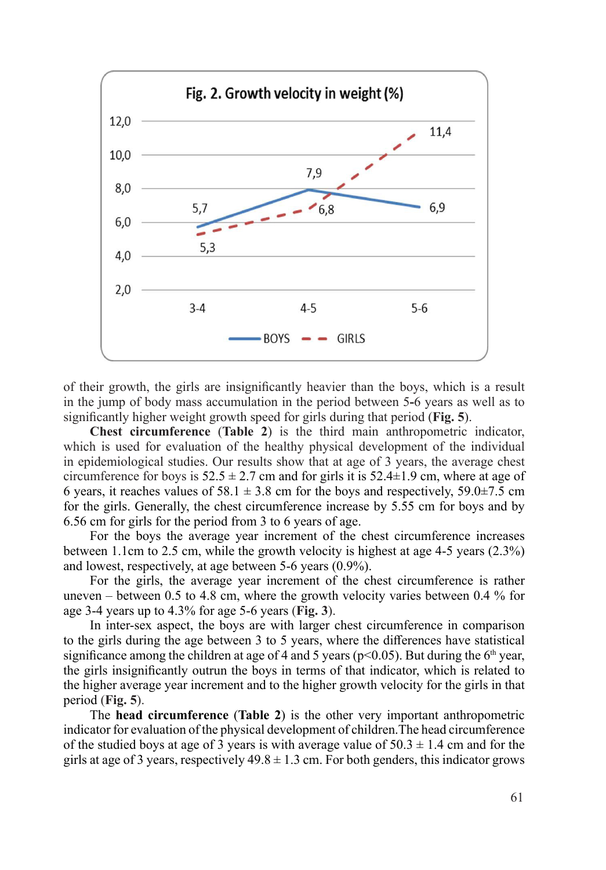

of their growth, the girls are insignificantly heavier than the boys, which is a result in the jump of body mass accumulation in the period between 5**-**6 years as well as to significantly higher weight growth speed for girls during that period (**Fig. 5**).

**Chest circumference** (**Table 2**) is the third main anthropometric indicator, which is used for evaluation of the healthy physical development of the individual in epidemiological studies. Our results show that at age of 3 years, the average chest circumference for boys is  $52.5 \pm 2.7$  cm and for girls it is  $52.4 \pm 1.9$  cm, where at age of 6 years, it reaches values of 58.1  $\pm$  3.8 cm for the boys and respectively, 59.0 $\pm$ 7.5 cm for the girls. Generally, the chest circumference increase by 5.55 cm for boys and by 6.56 cm for girls for the period from 3 to 6 years of age.

For the boys the average year increment of the chest circumference increases between 1.1cm to 2.5 cm, while the growth velocity is highest at age 4-5 years (2.3%) and lowest, respectively, at age between 5-6 years (0.9%).

For the girls, the average year increment of the chest circumference is rather uneven – between 0.5 to 4.8 cm, where the growth velocity varies between 0.4 % for age 3-4 years up to 4.3% for age 5-6 years (**Fig. 3**).

In inter-sex aspect, the boys are with larger chest circumference in comparison to the girls during the age between 3 to 5 years, where the differences have statistical significance among the children at age of 4 and 5 years ( $p<0.05$ ). But during the 6<sup>th</sup> year, the girls insignificantly outrun the boys in terms of that indicator, which is related to the higher average year increment and to the higher growth velocity for the girls in that period (**Fig. 5**).

The **head circumference** (**Table 2**) is the other very important anthropometric indicator for evaluation of the physical development of children.The head circumference of the studied boys at age of 3 years is with average value of  $50.3 \pm 1.4$  cm and for the girls at age of 3 years, respectively  $49.8 \pm 1.3$  cm. For both genders, this indicator grows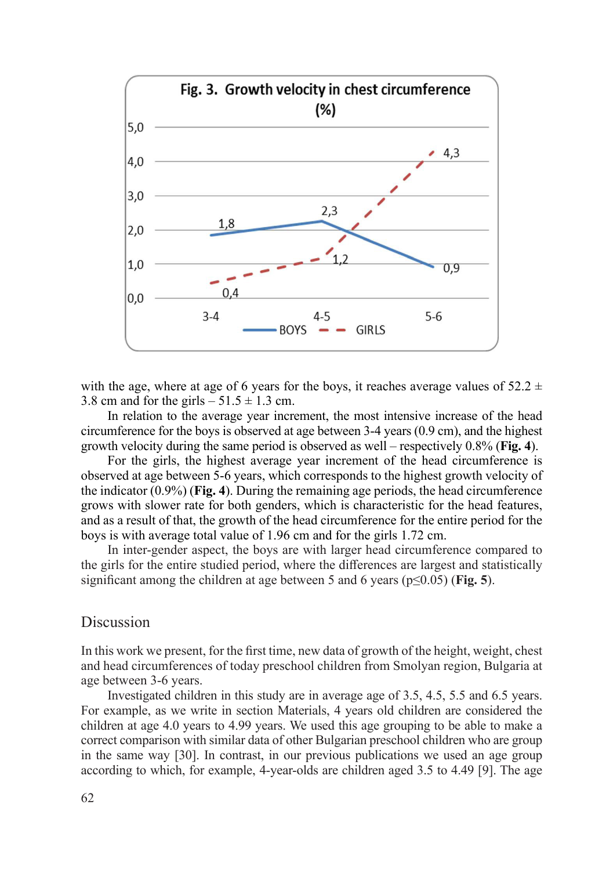

with the age, where at age of 6 years for the boys, it reaches average values of  $52.2 \pm 1$ 3.8 cm and for the girls  $-51.5 \pm 1.3$  cm.

In relation to the average year increment, the most intensive increase of the head circumference for the boys is observed at age between 3-4 years (0.9 cm), and the highest growth velocity during the same period is observed as well – respectively 0.8% (**Fig. 4**).

For the girls, the highest average year increment of the head circumference is observed at age between 5-6 years, which corresponds to the highest growth velocity of the indicator (0.9%) (**Fig. 4**). During the remaining age periods, the head circumference grows with slower rate for both genders, which is characteristic for the head features, and as a result of that, the growth of the head circumference for the entire period for the boys is with average total value of 1.96 cm and for the girls 1.72 cm.

In inter-gender aspect, the boys are with larger head circumference compared to the girls for the entire studied period, where the differences are largest and statistically significant among the children at age between 5 and 6 years (p≤0.05) (**Fig. 5**).

#### Discussion

In this work we present, for the first time, new data of growth of the height, weight, chest and head circumferences of today preschool children from Smolyan region, Bulgaria at age between 3-6 years.

Investigated children in this study are in average age of 3.5, 4.5, 5.5 and 6.5 years. For example, as we write in section Materials, 4 years old children are considered the children at age 4.0 years to 4.99 years. We used this age grouping to be able to make a correct comparison with similar data of other Bulgarian preschool children who are group in the same way [30]. In contrast, in our previous publications we used an age group according to which, for example, 4-year-olds are children aged 3.5 to 4.49 [9]. The age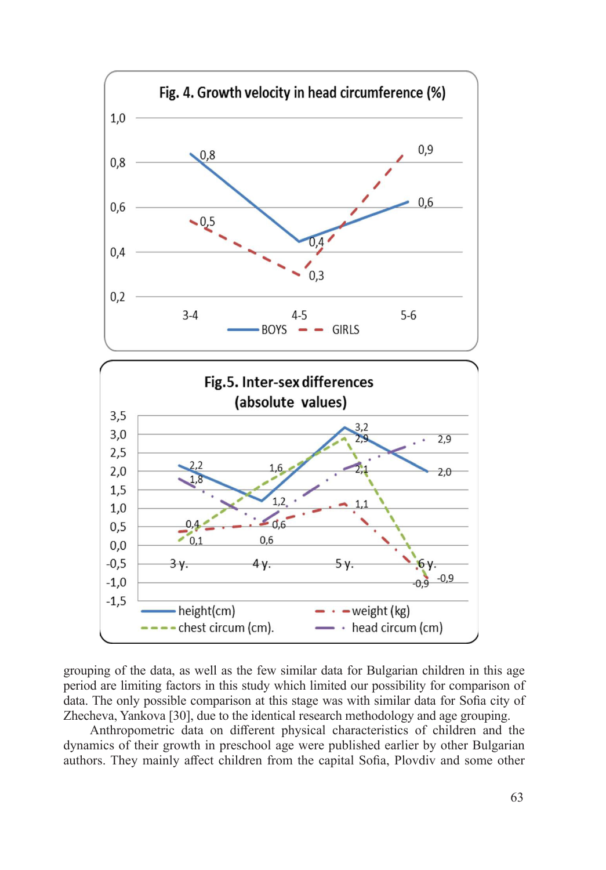

grouping of the data, as well as the few similar data for Bulgarian children in this age period are limiting factors in this study which limited our possibility for comparison of data. The only possible comparison at this stage was with similar data for Sofia city of Zhecheva, Yankova [30], due to the identical research methodology and age grouping.

Anthropometric data on different physical characteristics of children and the dynamics of their growth in preschool age were published earlier by other Bulgarian authors. They mainly affect children from the capital Sofia, Plovdiv and some other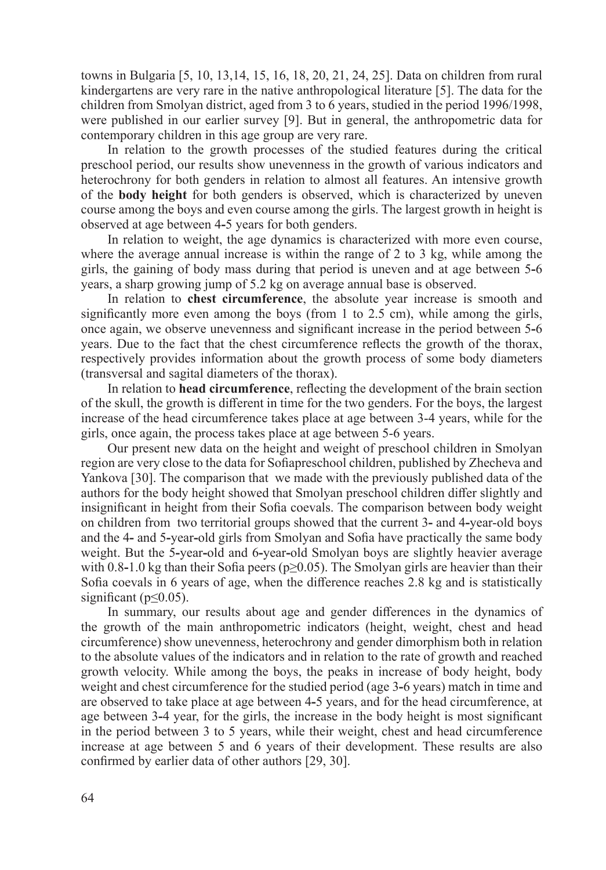towns in Bulgaria [5, 10, 13,14, 15, 16, 18, 20, 21, 24, 25]. Data on children from rural kindergartens are very rare in the native anthropological literature [5]. The data for the children from Smolyan district, aged from 3 to 6 years, studied in the period 1996/1998, were published in our earlier survey [9]. But in general, the anthropometric data for contemporary children in this age group are very rare.

In relation to the growth processes of the studied features during the critical preschool period, our results show unevenness in the growth of various indicators and heterochrony for both genders in relation to almost all features. An intensive growth of the **body height** for both genders is observed, which is characterized by uneven course among the boys and even course among the girls. The largest growth in height is observed at age between 4**-**5 years for both genders.

In relation to weight, the age dynamics is characterized with more even course, where the average annual increase is within the range of 2 to 3 kg, while among the girls, the gaining of body mass during that period is uneven and at age between 5**-**6 years, a sharp growing jump of 5.2 kg on average annual base is observed.

In relation to **chest circumference**, the absolute year increase is smooth and significantly more even among the boys (from 1 to 2.5 cm), while among the girls, once again, we observe unevenness and significant increase in the period between 5**-**6 years. Due to the fact that the chest circumference reflects the growth of the thorax, respectively provides information about the growth process of some body diameters (transversal and sagital diameters of the thorax).

In relation to **head circumference**, reflecting the development of the brain section of the skull, the growth is different in time for the two genders. For the boys, the largest increase of the head circumference takes place at age between 3-4 years, while for the girls, once again, the process takes place at age between 5-6 years.

Our present new data on the height and weight of preschool children in Smolyan region are very close to the data for Sofiapreschool children, published by Zhecheva and Yankova [30]. The comparison that we made with the previously published data of the authors for the body height showed that Smolyan preschool children differ slightly and insignificant in height from their Sofia coevals. The comparison between body weight on children from two territorial groups showed that the current 3**-** and 4**-**year-old boys and the 4**-** and 5**-**year**-**old girls from Smolyan and Sofia have practically the same body weight. But the 5**-**year**-**old and 6**-**year**-**old Smolyan boys are slightly heavier average with 0.8-1.0 kg than their Sofia peers ( $p\geq 0.05$ ). The Smolyan girls are heavier than their Sofia coevals in 6 years of age, when the difference reaches 2.8 kg and is statistically significant ( $p \le 0.05$ ).

In summary, our results about age and gender differences in the dynamics of the growth of the main anthropometric indicators (height, weight, chest and head circumference) show unevenness, heterochrony and gender dimorphism both in relation to the absolute values of the indicators and in relation to the rate of growth and reached growth velocity. While among the boys, the peaks in increase of body height, body weight and chest circumference for the studied period (age 3**-**6 years) match in time and are observed to take place at age between 4**-**5 years, and for the head circumference, at age between 3**-**4 year, for the girls, the increase in the body height is most significant in the period between 3 to 5 years, while their weight, chest and head circumference increase at age between 5 and 6 years of their development. These results are also confirmed by earlier data of other authors [29, 30].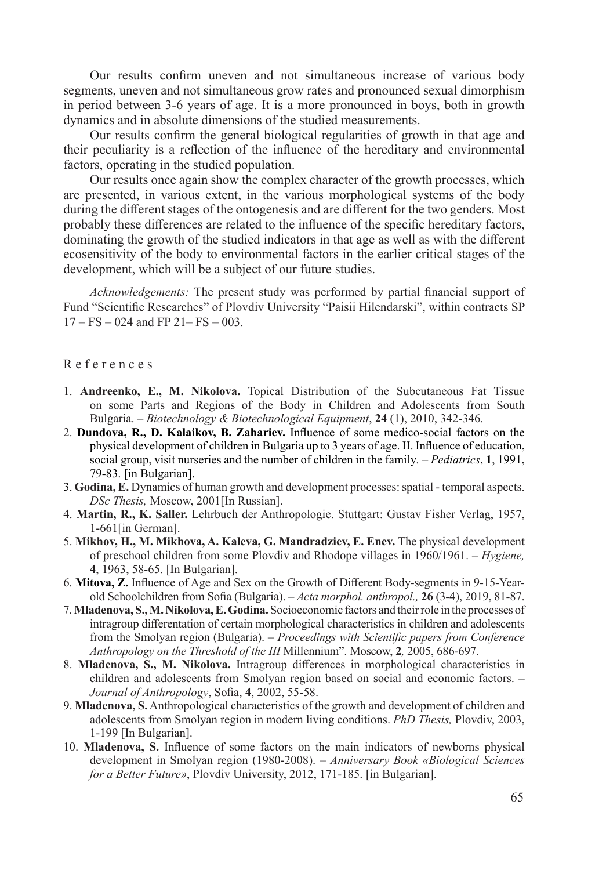Our results confirm uneven and not simultaneous increase of various body segments, uneven and not simultaneous grow rates and pronounced sexual dimorphism in period between 3-6 years of age. It is a more pronounced in boys, both in growth dynamics and in absolute dimensions of the studied measurements.

Our results confirm the general biological regularities of growth in that age and their peculiarity is a reflection of the influence of the hereditary and environmental factors, operating in the studied population.

Our results once again show the complex character of the growth processes, which are presented, in various extent, in the various morphological systems of the body during the different stages of the ontogenesis and are different for the two genders. Most probably these differences are related to the influence of the specific hereditary factors, dominating the growth of the studied indicators in that age as well as with the different ecosensitivity of the body to environmental factors in the earlier critical stages of the development, which will be a subject of our future studies.

*Acknowledgements:* The present study was performed by partial financial support of Fund "Scientific Researches" of Plovdiv University "Paisii Hilendarski", within contracts SP  $17 - FS - 024$  and FP 21– FS – 003.

#### R e f e r e n c e s

- 1. **Andreenko, E., M. Nikolova.** Topical Distribution of the Subcutaneous Fat Tissue on some Parts and Regions of the Body in Children and Adolescents from South Bulgaria. *– Biotechnology & Biotechnological Equipment*, **24** (1), 2010, 342-346.
- 2. **Dundova, R., D. Kalaikov, B. Zahariev.** Influence of some medico-social factors on the physical development of children in Bulgaria up to 3 years of age. ІІ. Influence of education, social group, visit nurseries and the number of children in the family*. – Pediatrics*, **1**, 1991, 79-83. [in Bulgarian].
- 3. **Godina, E.** Dynamics of human growth and development processes: spatial temporal aspects. *DSc Thesis,* Moscow, 2001[In Russian].
- 4. **Martin, R., K. Saller.** Lehrbuch der Anthropologie. Stuttgart: Gustav Fisher Verlag, 1957, 1-661[in German].
- 5. **Mikhov, H., M. Mikhova, A. Kaleva, G. Mandradziev, E. Enev.** The physical development of preschool children from some Plovdiv and Rhodope villages in 1960/1961. *– Hygiene,*  **4**, 1963, 58-65. [In Bulgarian].
- 6. **Mitova, Z.** Influence of Age and Sex on the Growth of Different Body-segments in 9-15-Yearold Schoolchildren from Sofia (Bulgaria). *– Acta morphol. anthropol.,* **26** (3-4), 2019, 81-87.
- 7. **Mladenova, S., M. Nikolova, E. Godina.** Socioeconomic factors and their role in the processes of intragroup differentation of certain morphological characteristics in children and adolescents from the Smolyan region (Bulgaria). *– Proceedings with Scientific papers from Conference Anthropology on the Threshold of the III* Millennium". Moscow, **2***,* 2005, 686-697.
- 8. **Mladenova, S., M. Nikolova.** Intragroup differences in morphological characteristics in children and adolescents from Smolyan region based on social and economic factors. *– Journal of Anthropology*, Sofia, **4**, 2002, 55-58.
- 9. **Mladenova, S.** Anthropological characteristics of the growth and development of children and adolescents from Smolyan region in modern living conditions. *PhD Thesis,* Plovdiv, 2003, 1-199 [In Bulgarian].
- 10. **Mladenova, S.** Influence of some factors on the main indicators of newborns physical development in Smolyan region (1980-2008). – *Anniversary Book «Biological Sciences for a Better Future»*, Plovdiv University, 2012, 171-185. [in Bulgarian].